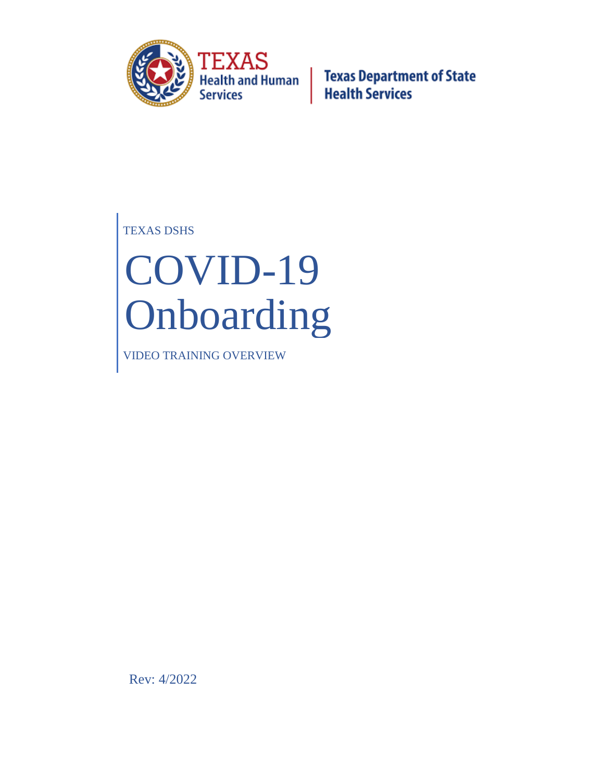

TEXAS DSHS

# COVID-19 Onboarding

VIDEO TRAINING OVERVIEW

Rev: 4/2022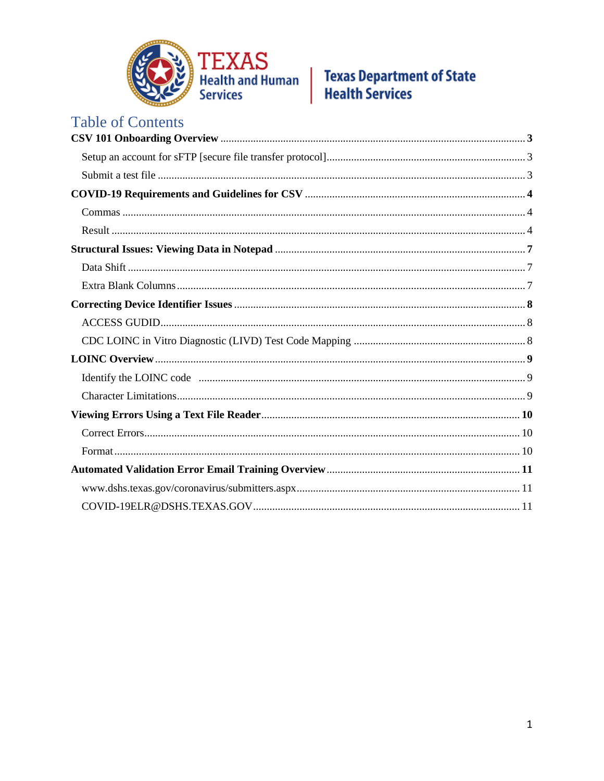

| <b>Table of Contents</b> |
|--------------------------|
|                          |
|                          |
|                          |
|                          |
|                          |
|                          |
|                          |
|                          |
|                          |
|                          |
|                          |
|                          |
|                          |
|                          |
|                          |
|                          |
|                          |
|                          |
|                          |
|                          |
|                          |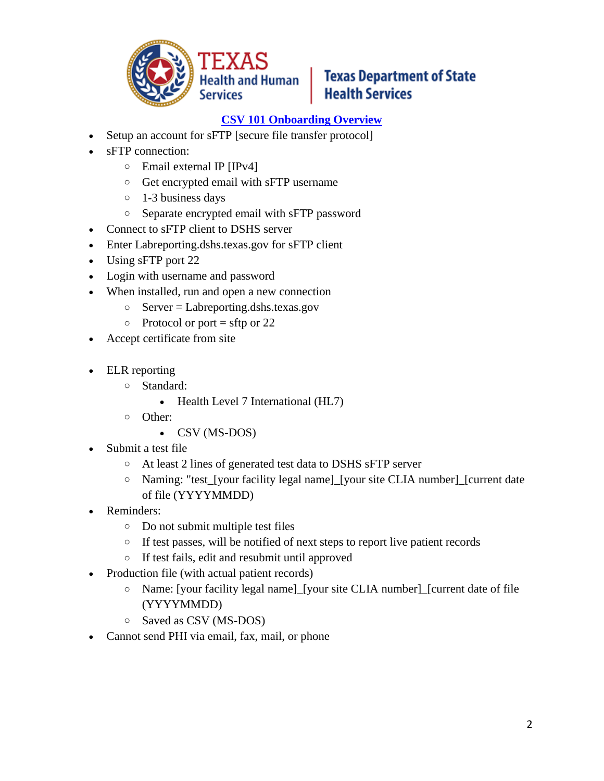

#### **[CSV 101 Onboarding Overview](https://www.gotostage.com/channel/7e01723e07524cee9ff4728312463477/recording/6da2379b45744d60b471c9a0a0eb9c69/watch?source=CHANNEL)**

- Setup an account for sFTP [secure file transfer protocol]
- sFTP connection:
	- o Email external IP [IPv4]
	- o Get encrypted email with sFTP username
	- o 1-3 business days
	- o Separate encrypted email with sFTP password
- Connect to sFTP client to DSHS server
- Enter Labreporting.dshs.texas.gov for sFTP client
- Using sFTP port 22
- Login with username and password
- When installed, run and open a new connection
	- o Server = Labreporting.dshs.texas.gov
	- $\circ$  Protocol or port = sftp or 22
- Accept certificate from site
- ELR reporting
	- o Standard:
		- Health Level 7 International (HL7)
	- o Other:
		- CSV (MS-DOS)
- Submit a test file
	- o At least 2 lines of generated test data to DSHS sFTP server
	- o Naming: "test\_[your facility legal name]\_[your site CLIA number]\_[current date of file (YYYYMMDD)
- Reminders:
	- o Do not submit multiple test files
	- o If test passes, will be notified of next steps to report live patient records
	- o If test fails, edit and resubmit until approved
- Production file (with actual patient records)
	- o Name: [your facility legal name]\_[your site CLIA number]\_[current date of file (YYYYMMDD)
	- o Saved as CSV (MS-DOS)
- Cannot send PHI via email, fax, mail, or phone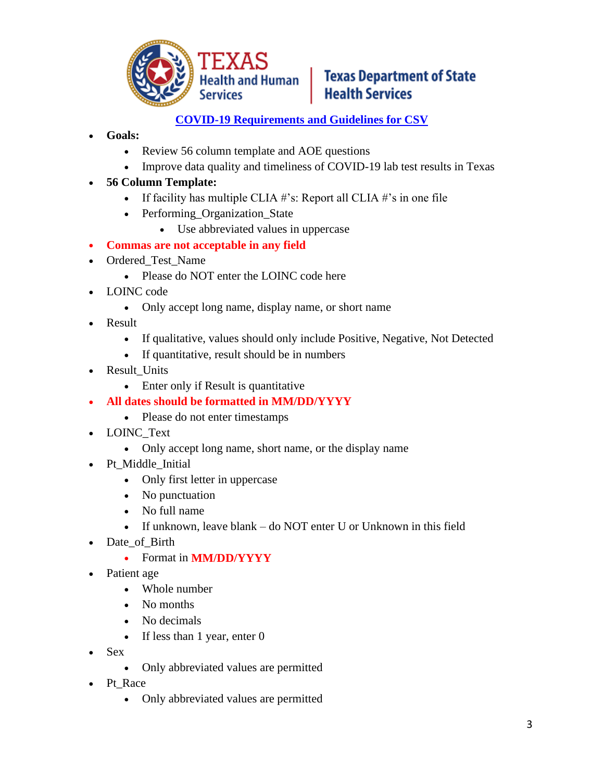

#### **[COVID-19 Requirements and Guidelines for CSV](https://www.gotostage.com/channel/7e01723e07524cee9ff4728312463477/recording/38ddc3e4deb44ae7adfb7c7f357044bb/watch?source=CHANNEL)**

- **Goals:** 
	- Review 56 column template and AOE questions
	- Improve data quality and timeliness of COVID-19 lab test results in Texas
- **56 Column Template:** 
	- If facility has multiple CLIA  $\#$ 's: Report all CLIA  $\#$ 's in one file
	- Performing Organization State
		- Use abbreviated values in uppercase
- **Commas are not acceptable in any field**
- Ordered Test Name
	- Please do NOT enter the LOINC code here
- LOINC code
	- Only accept long name, display name, or short name
- Result
	- If qualitative, values should only include Positive, Negative, Not Detected
	- If quantitative, result should be in numbers
- Result\_Units
	- Enter only if Result is quantitative
- **All dates should be formatted in MM/DD/YYYY**
	- Please do not enter timestamps
- LOINC\_Text
	- Only accept long name, short name, or the display name
- Pt Middle Initial
	- Only first letter in uppercase
	- No punctuation
	- No full name
	- If unknown, leave blank do NOT enter U or Unknown in this field
- Date\_of\_Birth
	- Format in **MM/DD/YYYY**
- Patient age
	- Whole number
	- No months
	- No decimals
	- If less than 1 year, enter 0
- Sex
	- Only abbreviated values are permitted
- Pt\_Race
	- Only abbreviated values are permitted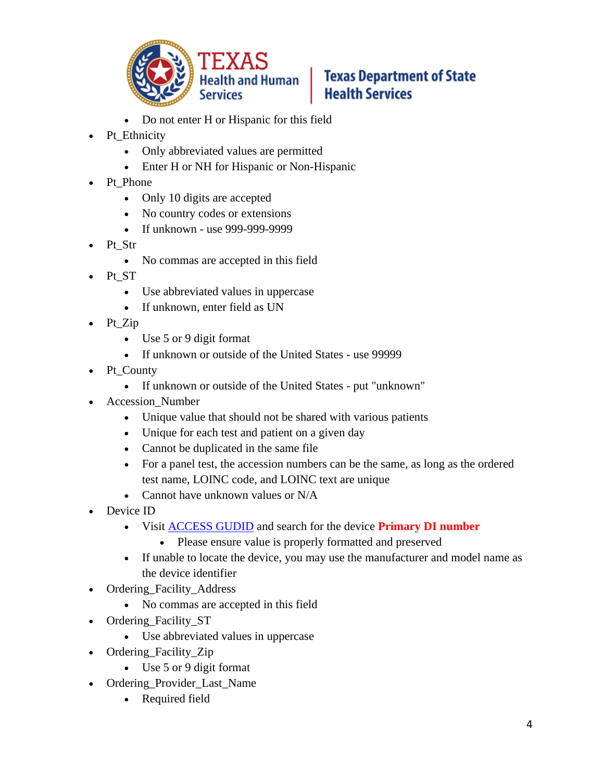

- Do not enter H or Hispanic for this field
- Pt\_Ethnicity
	- Only abbreviated values are permitted
	- Enter H or NH for Hispanic or Non-Hispanic
- Pt Phone
	- Only 10 digits are accepted
	- No country codes or extensions
	- If unknown use 999-999-9999
- Pt Str
	- No commas are accepted in this field
- Pt\_ST
	- Use abbreviated values in uppercase
	- If unknown, enter field as UN
- Pt Zip
	- Use 5 or 9 digit format
	- If unknown or outside of the United States use 99999
- Pt\_County
	- If unknown or outside of the United States put "unknown"
- Accession\_Number
	- Unique value that should not be shared with various patients
	- Unique for each test and patient on a given day
	- Cannot be duplicated in the same file
	- For a panel test, the accession numbers can be the same, as long as the ordered test name, LOINC code, and LOINC text are unique
	- Cannot have unknown values or N/A
- Device ID
	- Visit [ACCESS GUDID](https://accessgudid.nlm.nih.gov/) and search for the device **Primary DI number**
		- Please ensure value is properly formatted and preserved
	- If unable to locate the device, you may use the manufacturer and model name as the device identifier
- Ordering\_Facility\_Address
	- No commas are accepted in this field
- Ordering Facility ST
	- Use abbreviated values in uppercase
- Ordering Facility Zip
	- Use 5 or 9 digit format
- Ordering\_Provider\_Last\_Name
	- Required field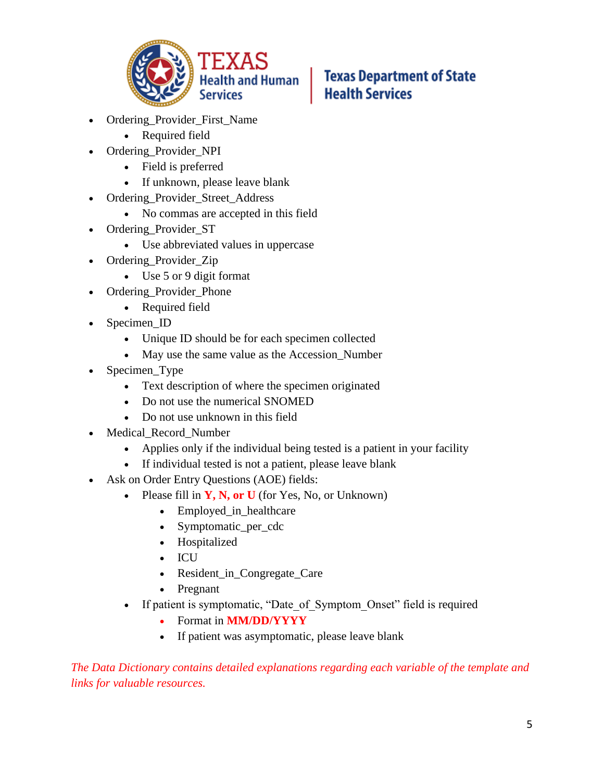

- Ordering Provider First Name
	- Required field
- Ordering\_Provider\_NPI
	- Field is preferred
	- If unknown, please leave blank
- Ordering\_Provider\_Street\_Address
	- No commas are accepted in this field
- Ordering Provider ST
	- Use abbreviated values in uppercase
- Ordering\_Provider\_Zip
	- Use 5 or 9 digit format
- Ordering\_Provider\_Phone
	- Required field
- Specimen ID
	- Unique ID should be for each specimen collected
	- May use the same value as the Accession Number
- Specimen\_Type
	- Text description of where the specimen originated
	- Do not use the numerical SNOMED
	- Do not use unknown in this field
- Medical\_Record\_Number
	- Applies only if the individual being tested is a patient in your facility
	- If individual tested is not a patient, please leave blank
- Ask on Order Entry Questions (AOE) fields:
	- Please fill in **Y, N, or U** (for Yes, No, or Unknown)
		- Employed in healthcare
		- Symptomatic per cdc
		- Hospitalized
		- ICU
		- Resident\_in\_Congregate\_Care
		- Pregnant
	- If patient is symptomatic, "Date of Symptom Onset" field is required
		- Format in **MM/DD/YYYY**
		- If patient was asymptomatic, please leave blank

*The Data Dictionary contains detailed explanations regarding each variable of the template and links for valuable resources.*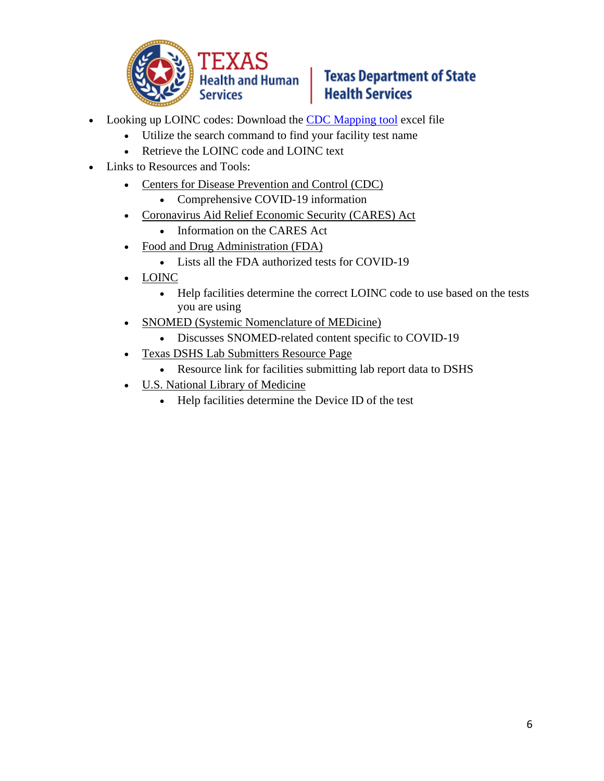

- Looking up LOINC codes: Download the CDC [Mapping tool](https://www.cdc.gov/csels/dls/sars-cov-2-livd-codes.html) excel file
	- Utilize the search command to find your facility test name
	- Retrieve the LOINC code and LOINC text
- Links to Resources and Tools:
	- [Centers for Disease Prevention and Control \(CDC\)](file:///C:/Users/CTmhanna074/Downloads/Microsoft%20Teams.lnk)
		- Comprehensive COVID-19 information
	- [Coronavirus Aid Relief Economic Security \(CARES\) Act](https://home.treasury.gov/policy-issues/cares)
		- Information on the CARES Act
	- [Food and Drug Administration \(FDA\)](https://www.fda.gov/medical-devices/coronavirus-disease-2019-covid-19-emergency-use-%20authorizations-medical-devices/vitro-diagnostics-euas)
		- Lists all the FDA authorized tests for COVID-19
	- [LOINC](https://www.cdc.gov/csels/dls/sars-cov-2-livd-codes.html%20https:/loinc.org/sars-cov-2-and-covid-19/)
		- Help facilities determine the correct LOINC code to use based on the tests you are using
	- [SNOMED \(Systemic Nomenclature of MEDicine\)](https://confluence.ihtsdotools.org/display/snomed/SNOMED%2BCT%2BCOVID-%2019%2BRelated%2BContent)
		- Discusses SNOMED-related content specific to COVID-19
	- [Texas DSHS Lab Submitters Resource Page](https://dshs.texas.gov/coronavirus/lab-reporting.aspx)
		- Resource link for facilities submitting lab report data to DSHS
	- [U.S. National Library of Medicine](https://accessgudid.nlm.nih.gov/)
		- Help facilities determine the Device ID of the test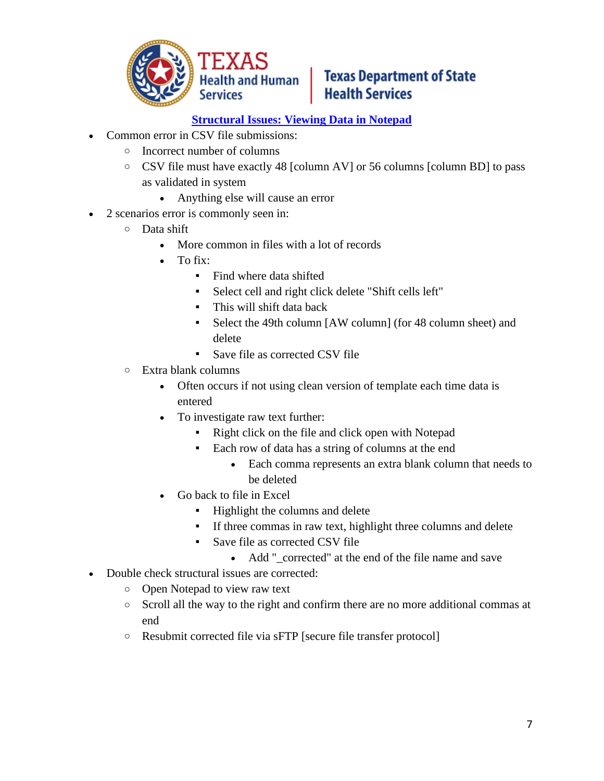

#### **[Structural Issues: Viewing Data in Notepad](https://www.gotostage.com/channel/7e01723e07524cee9ff4728312463477/recording/caf00c19661540c180426d01d1736ea4/watch?source=CHANNEL)**

- Common error in CSV file submissions:
	- o Incorrect number of columns
	- o CSV file must have exactly 48 [column AV] or 56 columns [column BD] to pass as validated in system
		- Anything else will cause an error
- 2 scenarios error is commonly seen in:
	- o Data shift
		- More common in files with a lot of records
		- $\bullet$  To fix:
			- Find where data shifted
			- Select cell and right click delete "Shift cells left"
			- This will shift data back
			- Select the 49th column [AW column] (for 48 column sheet) and delete
			- Save file as corrected CSV file
	- o Extra blank columns
		- Often occurs if not using clean version of template each time data is entered
		- To investigate raw text further:
			- Right click on the file and click open with Notepad
			- Each row of data has a string of columns at the end
				- Each comma represents an extra blank column that needs to be deleted
		- Go back to file in Excel
			- Highlight the columns and delete
			- If three commas in raw text, highlight three columns and delete
			- Save file as corrected CSV file
				- Add " corrected" at the end of the file name and save
- Double check structural issues are corrected:
	- o Open Notepad to view raw text
	- o Scroll all the way to the right and confirm there are no more additional commas at end
	- o Resubmit corrected file via sFTP [secure file transfer protocol]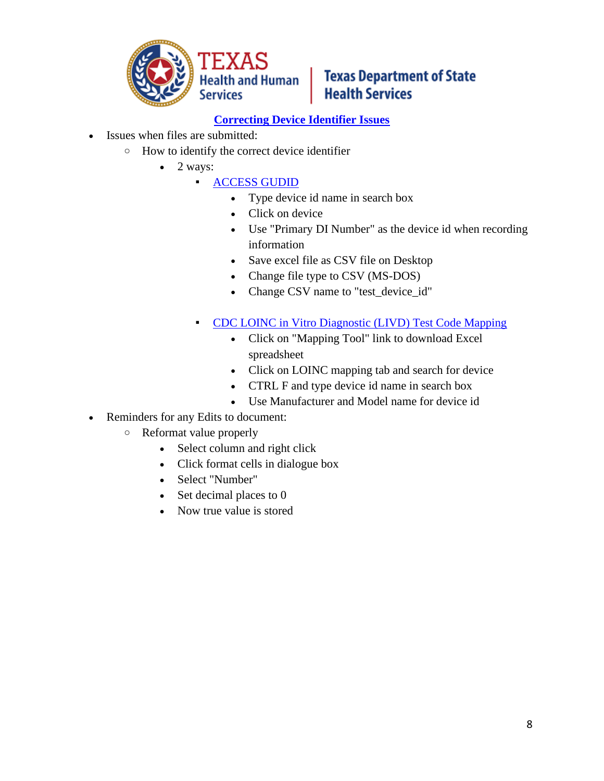

#### **[Correcting Device Identifier Issues](https://www.gotostage.com/channel/7e01723e07524cee9ff4728312463477/recording/6ac46b0632cc43b2a2f52d280fbcd8ee/watch?source=CHANNEL)**

- Issues when files are submitted:
	- o How to identify the correct device identifier
		- $\bullet$  2 ways:
			- [ACCESS GUDID](https://accessgudid.nlm.nih.gov/)
				- Type device id name in search box
				- Click on device
				- Use "Primary DI Number" as the device id when recording information
				- Save excel file as CSV file on Desktop
				- Change file type to CSV (MS-DOS)
				- Change CSV name to "test\_device\_id"
				- [CDC LOINC in Vitro Diagnostic \(LIVD\) Test Code Mapping](https://www.cdc.gov/csels/dls/sars-cov-2-livd-codes.html)
					- Click on "Mapping Tool" link to download Excel spreadsheet
					- Click on LOINC mapping tab and search for device
					- CTRL F and type device id name in search box
					- Use Manufacturer and Model name for device id
- Reminders for any Edits to document:
	- o Reformat value properly
		- Select column and right click
		- Click format cells in dialogue box
		- Select "Number"
		- Set decimal places to 0
		- Now true value is stored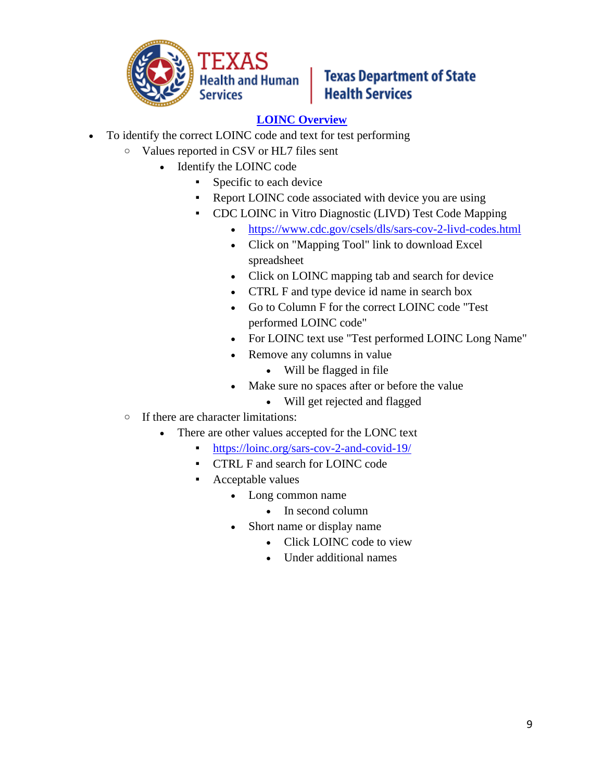

#### **[LOINC Overview](https://www.gotostage.com/channel/7e01723e07524cee9ff4728312463477/recording/555cf9c3732549f6942dfaea172f21c4/watch?source=CHANNEL)**

- To identify the correct LOINC code and text for test performing
	- o Values reported in CSV or HL7 files sent
		- Identify the LOINC code
			- **•** Specific to each device
			- Report LOINC code associated with device you are using
			- CDC LOINC in Vitro Diagnostic (LIVD) Test Code Mapping
				- <https://www.cdc.gov/csels/dls/sars-cov-2-livd-codes.html>
				- Click on "Mapping Tool" link to download Excel spreadsheet
				- Click on LOINC mapping tab and search for device
				- CTRL F and type device id name in search box
				- Go to Column F for the correct LOINC code "Test performed LOINC code"
				- For LOINC text use "Test performed LOINC Long Name"
				- Remove any columns in value
					- Will be flagged in file
				- Make sure no spaces after or before the value
					- Will get rejected and flagged
	- o If there are character limitations:
		- There are other values accepted for the LONC text
			- <https://loinc.org/sars-cov-2-and-covid-19/>
			- CTRL F and search for LOINC code
			- Acceptable values
				- Long common name
					- In second column
				- Short name or display name
					- Click LOINC code to view
					- Under additional names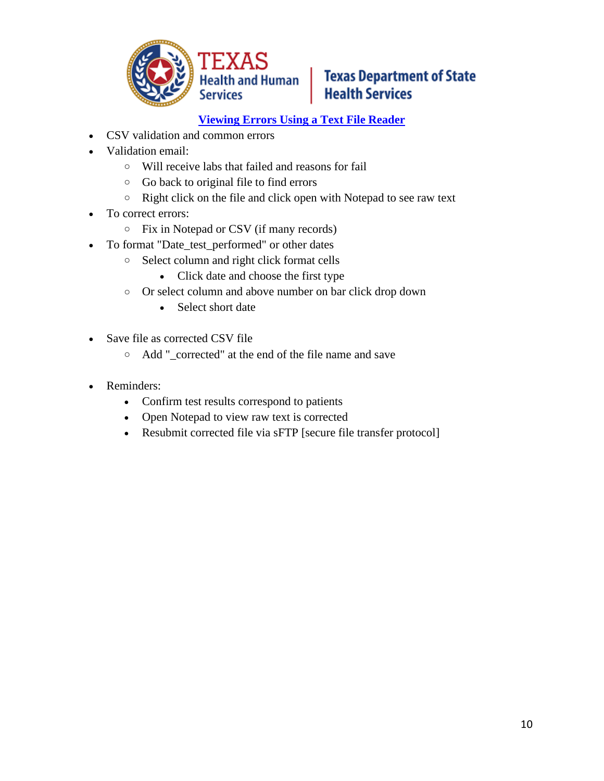

#### **[Viewing Errors Using a Text File Reader](https://www.gotostage.com/channel/7e01723e07524cee9ff4728312463477/recording/b5d72bf5c04a4996b69514e6b242fb7e/watch?source=CHANNEL)**

- CSV validation and common errors
- Validation email:
	- o Will receive labs that failed and reasons for fail
	- o Go back to original file to find errors
	- o Right click on the file and click open with Notepad to see raw text
- To correct errors:
	- o Fix in Notepad or CSV (if many records)
- To format "Date\_test\_performed" or other dates
	- o Select column and right click format cells
		- Click date and choose the first type
	- o Or select column and above number on bar click drop down
		- Select short date
- Save file as corrected CSV file
	- o Add "\_corrected" at the end of the file name and save
- Reminders:
	- Confirm test results correspond to patients
	- Open Notepad to view raw text is corrected
	- Resubmit corrected file via sFTP [secure file transfer protocol]